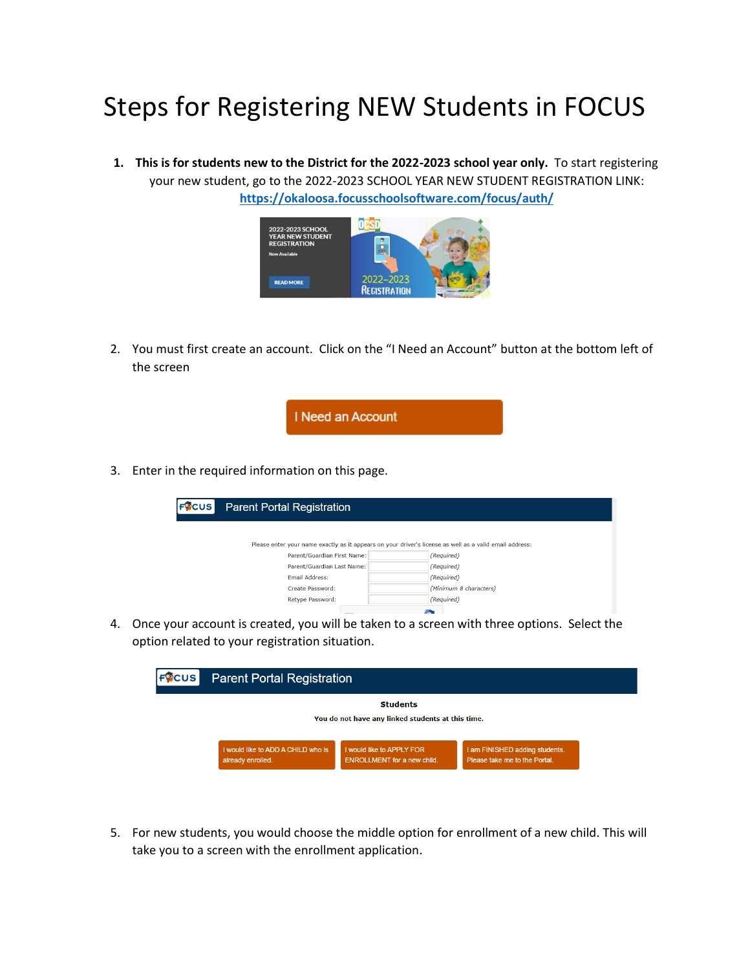## Steps for Registering NEW Students in FOCUS

**1. This is for students new to the District for the 2022-2023 school year only.** To start registering your new student, go to the 2022-2023 SCHOOL YEAR NEW STUDENT REGISTRATION LINK: **<https://okaloosa.focusschoolsoftware.com/focus/auth/>**



2. You must first create an account. Click on the "I Need an Account" button at the bottom left of the screen



3. Enter in the required information on this page.

| FQCUS                                                                                                   | <b>Parent Portal Registration</b> |                        |  |  |  |  |
|---------------------------------------------------------------------------------------------------------|-----------------------------------|------------------------|--|--|--|--|
| Please enter your name exactly as it appears on your driver's license as well as a valid email address: |                                   |                        |  |  |  |  |
|                                                                                                         | Parent/Guardian First Name:       | (Required)             |  |  |  |  |
|                                                                                                         | Parent/Guardian Last Name:        | (Required)             |  |  |  |  |
|                                                                                                         | Email Address:                    | (Required)             |  |  |  |  |
|                                                                                                         | Create Password:                  | (Minimum 8 characters) |  |  |  |  |
|                                                                                                         | Retype Password:                  | (Required)             |  |  |  |  |
|                                                                                                         |                                   |                        |  |  |  |  |

4. Once your account is created, you will be taken to a screen with three options. Select the option related to your registration situation.

| <b>FOCUS</b> | <b>Parent Portal Registration</b><br><b>Students</b><br>You do not have any linked students at this time. |                                                                 |                                                                 |  |  |
|--------------|-----------------------------------------------------------------------------------------------------------|-----------------------------------------------------------------|-----------------------------------------------------------------|--|--|
|              |                                                                                                           |                                                                 |                                                                 |  |  |
|              | I would like to ADD A CHILD who is<br>already enrolled.                                                   | I would like to APPLY FOR<br><b>ENROLLMENT</b> for a new child. | I am FINISHED adding students.<br>Please take me to the Portal. |  |  |

5. For new students, you would choose the middle option for enrollment of a new child. This will take you to a screen with the enrollment application.